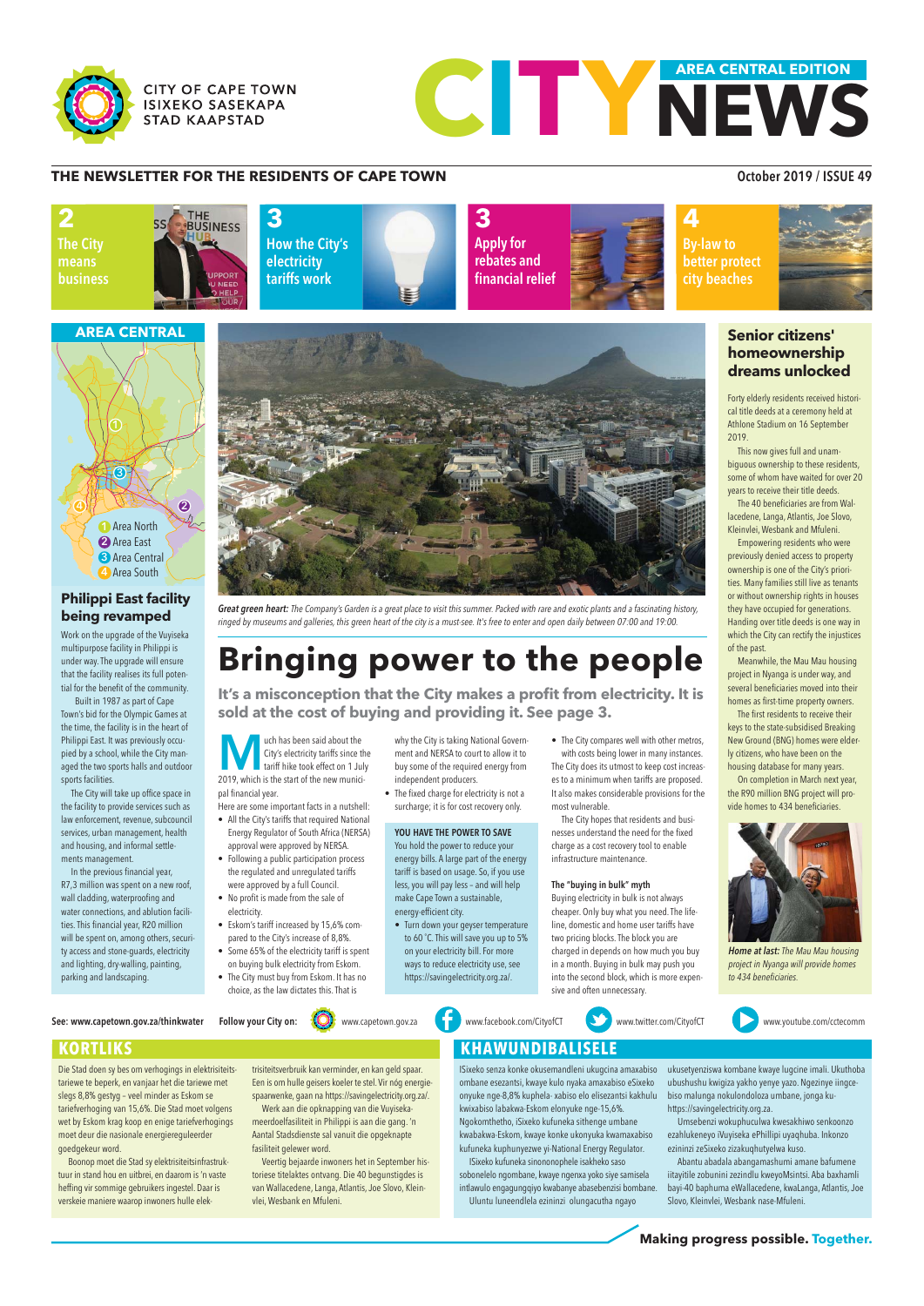# **Bringing power to the people**

**It's a misconception that the City makes a profit from electricity. It is sold at the cost of buying and providing it. See page 3.** 



**Making progress possible. Together.** 







## **THE NEWSLETTER FOR THE RESIDENTS OF CAPE TOWN CONSUMING A RESIDENTS OF CAPE TOWN**

## **Senior citizens' homeownership dreams unlocked**

Forty elderly residents received historical title deeds at a ceremony held at Athlone Stadium on 16 September 2019.

This now gives full and unambiguous ownership to these residents, some of whom have waited for over 20 years to receive their title deeds.

The 40 beneficiaries are from Wallacedene, Langa, Atlantis, Joe Slovo, Kleinvlei, Wesbank and Mfuleni.

Empowering residents who were previously denied access to property ownership is one of the City's priorities. Many families still live as tenants or without ownership rights in houses they have occupied for generations. Handing over title deeds is one way in which the City can rectify the injustices of the past.

Meanwhile, the Mau Mau housing project in Nyanga is under way, and several beneficiaries moved into their homes as first-time property owners.

Die Stad doen sy bes om verhogings in elektrisiteitstariewe te beperk, en vanjaar het die tariewe met slegs 8,8% gestyg – veel minder as Eskom se tariefverhoging van 15,6%. Die Stad moet volgens wet by Eskom krag koop en enige tariefverhogings moet deur die nasionale energiereguleerder goedgekeur word.

The first residents to receive their keys to the state-subsidised Breaking New Ground (BNG) homes were elderly citizens, who have been on the housing database for many years.

On completion in March next year, the R90 million BNG project will provide homes to 434 beneficiaries.

## **AREA CENTRAL**

## **Philippi East facility being revamped**

Work on the upgrade of the Vuyiseka multipurpose facility in Philippi is under way. The upgrade will ensure that the facility realises its full potential for the benefit of the community.

Built in 1987 as part of Cape Town's bid for the Olympic Games at the time, the facility is in the heart of Philippi East. It was previously occupied by a school, while the City managed the two sports halls and outdoor sports facilities.

The City will take up office space in the facility to provide services such as law enforcement, revenue, subcouncil services, urban management, health and housing, and informal settlements management.

In the previous financial year, R7,3 million was spent on a new roof, wall cladding, waterproofing and water connections, and ablution facilities. This financial year, R20 million will be spent on, among others, security access and stone-guards, electricity and lighting, dry-walling, painting, parking and landscaping.



Great green heart: The Company's Garden is a great place to visit this summer. Packed with rare and exotic plants and a fascinating history, ringed by museums and galleries, this green heart of the city is a must-see. It's free to enter and open daily between 07:00 and 19:00.

**Much has been said about the**<br>City's electricity tariffs since the tariff hike took effect on 1 Ju City's electricity tariffs since the **tariff hike took effect on 1 July** 2019, which is the start of the new municipal financial year.

Boonop moet die Stad sy elektrisiteitsinfrastruk tuur in stand hou en uitbrei, en daarom is 'n vaste heffing vir sommige gebruikers ingestel. Daar is verskeie maniere waarop inwoners hulle elektrisiteitsverbruik kan verminder, en kan geld spaar. Een is om hulle geisers koeler te stel. Vir nóg energiespaarwenke, gaan na https://savingelectricity.org.za/. Werk aan die opknapping van die Vuyisekameerdoelfasiliteit in Philippi is aan die gang. 'n Aantal Stadsdienste sal vanuit die opgeknapte fasiliteit gelewer word.

Veertig bejaarde inwoners het in September historiese titelaktes ontvang. Die 40 begunstigdes is van Wallacedene, Langa, Atlantis, Joe Slovo, Kleinvlei, Wesbank en Mfuleni.

# **KORTLIKS KORTLIKS KORTLIKS**

ISixeko senza konke okusemandleni ukugcina amaxabiso ombane esezantsi, kwaye kulo nyaka amaxabiso eSixeko onyuke nge-8,8% kuphela- xabiso elo elisezantsi kakhulu kwixabiso labakwa-Eskom elonyuke nge-15,6%. Ngokomthetho, iSixeko kufuneka sithenge umbane kwabakwa-Eskom, kwaye konke ukonyuka kwamaxabiso kufuneka kuphunyezwe yi-National Energy Regulator. ISixeko kufuneka sinononophele isakheko saso sobonelelo ngombane, kwaye ngenxa yoko siye samisela intlawulo engagungqiyo kwabanye abasebenzisi bombane.

Uluntu luneendlela ezininzi olungacutha ngayo

ukusetyenziswa kombane kwaye lugcine imali. Ukuthoba ubushushu kwigiza yakho yenye yazo. Ngezinye iingcebiso malunga nokulondoloza umbane, jonga kuhttps://savingelectricity.org.za.

Umsebenzi wokuphuculwa kwesakhiwo senkoonzo ezahlukeneyo iVuyiseka ePhillipi uyaqhuba. Inkonzo ezininzi zeSixeko zizakuqhutyelwa kuso.

Abantu abadala abangamashumi amane bafumene iitayitile zobunini zezindlu kweyoMsintsi. Aba baxhamli bayi-40 baphuma eWallacedene, kwaLanga, Atlantis, Joe Slovo, Kleinvlei, Wesbank nase-Mfuleni.



Home at last: The Mau Mau housing project in Nyanga will provide homes to 434 beneficiaries.

- Here are some important facts in a nutshell:
- All the City's tariffs that required National Energy Regulator of South Africa (NERSA) approval were approved by NERSA.
- Following a public participation process the regulated and unregulated tariffs were approved by a full Council.
- No profit is made from the sale of electricity.
- Eskom's tariff increased by 15,6% compared to the City's increase of 8,8%.
- Some 65% of the electricity tariff is spent on buying bulk electricity from Eskom.
- The City must buy from Eskom. It has no

See: www.capetown.gov.za/thinkwater Follow your City on:  $\{ \bigcirc \}$  www.capetown.gov.za  $\{ \cdot \}$  www.facebook.com/CityofCT www.twitter.com/CityofCT www.youtube.com/cctecomm







- why the City is taking National Government and NERSA to court to allow it to buy some of the required energy from independent producers.
- The fixed charge for electricity is not a surcharge; it is for cost recovery only.

The City hopes that residents and businesses understand the need for the fixed charge as a cost recovery tool to enable infrastructure maintenance.

#### The "buying in bulk" myth

Buying electricity in bulk is not always cheaper. Only buy what you need. The lifeline, domestic and home user tariffs have two pricing blocks. The block you are charged in depends on how much you buy in a month. Buying in bulk may push you into the second block, which is more expen-

- Turn down your geyser temperature to 60 ˚C. This will save you up to 5% on your electricity bill. For more ways to reduce electricity use, see https://savingelectricity.org.za/.
- The City compares well with other metros, with costs being lower in many instances. The City does its utmost to keep cost increases to a minimum when tariffs are proposed. It also makes considerable provisions for the most vulnerable.

sive and often unnecessary.

#### YOU HAVE THE POWER TO SAVE

You hold the power to reduce your energy bills. A large part of the energy tariff is based on usage. So, if you use less, you will pay less – and will help make Cape Town a sustainable, energy-efficient city.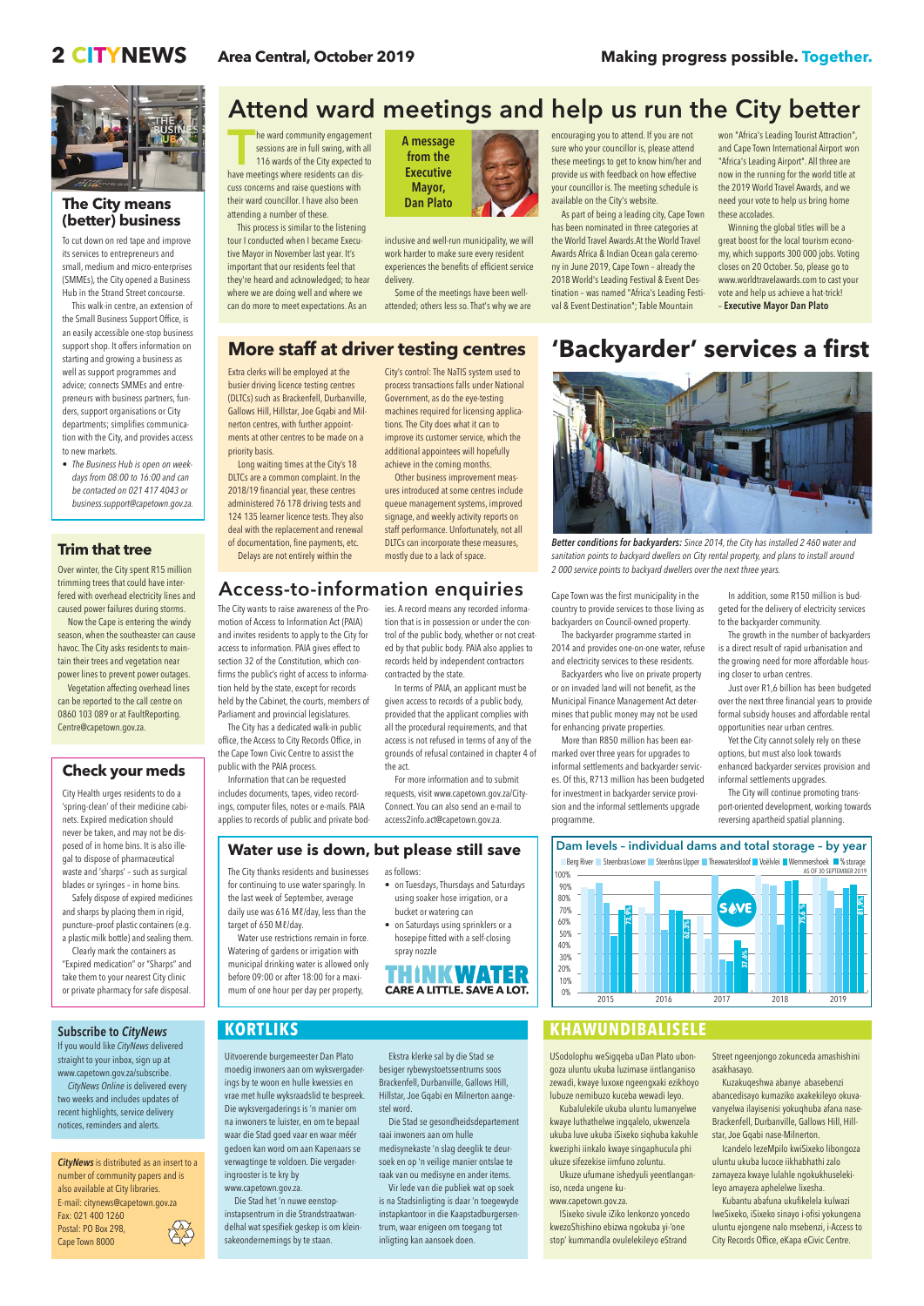# **2 CITYNEWS Area Central, October 2019 Making progress possible. Together.**



USodolophu weSigqeba uDan Plato ubongoza uluntu ukuba luzimase iintlanganiso zewadi, kwaye luxoxe ngeengxaki ezikhoyo lubuze nemibuzo kuceba wewadi leyo.

Kubalulekile ukuba uluntu lumanyelwe kwaye luthathelwe ingqalelo, ukwenzela ukuba luve ukuba iSixeko siqhuba kakuhle kweziphi iinkalo kwaye singaphucula phi ukuze sifezekise iimfuno zoluntu.

Ukuze ufumane ishedyuli yeentlanganiso, nceda ungene ku-

www.capetown.gov.za.

ISixeko sivule iZiko lenkonzo yoncedo kwezoShishino ebizwa ngokuba yi-'one stop' kummandla ovulelekileyo eStrand Street ngeenjongo zokunceda amashishini asakhasayo.

If you would like CityNews delivered straight to your inbox, sign up at www.capetown.gov.za/subscribe.

Kuzakuqeshwa abanye abasebenzi abancedisayo kumaziko axakekileyo okuvavanyelwa ilayisenisi yokuqhuba afana nase-Brackenfell, Durbanville, Gallows Hill, Hillstar, Joe Gqabi nase-Milnerton.

**CityNews** is distributed as an insert to a number of community papers and is also available at City libraries. E-mail: citynews@capetown.gov.za Fax: 021 400 1260 Postal: PO Box 298, Cape Town 8000

Icandelo lezeMpilo kwiSixeko libongoza uluntu ukuba lucoce iikhabhathi zalo zamayeza kwaye lulahle ngokukhuselekileyo amayeza aphelelwe lixesha. Kubantu abafuna ukufikelela kulwazi lweSixeko, iSixeko sinayo i-ofisi yokungena uluntu ejongene nalo msebenzi, i-Access to City Records Office, eKapa eCivic Centre.

CityNews Online is delivered every two weeks and includes updates of recent highlights, service delivery notices, reminders and alerts.

# Access-to-information enquiries

The City wants to raise awareness of the Promotion of Access to Information Act (PAIA) and invites residents to apply to the City for access to information. PAIA gives effect to section 32 of the Constitution, which confirms the public's right of access to information held by the state, except for records held by the Cabinet, the courts, members of Parliament and provincial legislatures.

The City has a dedicated walk-in public office, the Access to City Records Office, in the Cape Town Civic Centre to assist the public with the PAIA process.

for continuing to use water sparingly. In the last week of September, average daily use was 616 Ml/day, less than the

Information that can be requested includes documents, tapes, video recordings, computer files, notes or e-mails. PAIA applies to records of public and private bod-

The City thanks residents and businesses as follows:

ies. A record means any recorded information that is in possession or under the control of the public body, whether or not created by that public body. PAIA also applies to records held by independent contractors

# contracted by the state.

In terms of PAIA, an applicant must be given access to records of a public body, provided that the applicant complies with all the procedural requirements, and that access is not refused in terms of any of the grounds of refusal contained in chapter 4 of the act.

For more information and to submit requests, visit www.capetown.gov.za/City-Connect. You can also send an e-mail to access2info.act@capetown.gov.za.

Extra clerks will be employed at the busier driving licence testing centres (DLTCs) such as Brackenfell, Durbanville, Gallows Hill, Hillstar, Joe Gqabi and Milnerton centres, with further appointments at other centres to be made on a priority basis.



Better conditions for backyarders: Since 2014, the City has installed 2 460 water and sanitation points to backyard dwellers on City rental property, and plans to install around 2 000 service points to backyard dwellers over the next three years.

Long waiting times at the City's 18 DLTCs are a common complaint. In the 2018/19 financial year, these centres administered 76 178 driving tests and 124 135 learner licence tests. They also deal with the replacement and renewal of documentation, fine payments, etc. Delays are not entirely within the

City's control: The NaTIS system used to process transactions falls under National Government, as do the eye-testing machines required for licensing applications. The City does what it can to improve its customer service, which the additional appointees will hopefully achieve in the coming months.

Other business improvement measures introduced at some centres include queue management systems, improved signage, and weekly activity reports on staff performance. Unfortunately, not all DLTCs can incorporate these measures, mostly due to a lack of space.

# **More staff at driver testing centres**

# Dam levels – individual dams and total storage – by year

Berg River Steenbras Lower Steenbras Upper Theewaterskloof Voëlvlei Wemmershoek % storage<br>AS OF 30 SEPTEMBER 2019





**THE WEST THE WEST THE WATER SERVERT SHOWSTERN SERVERT SERVERT SERVERT SERVERT SHOWSTEP THE SERVERT SHOWSTEP SHOWSTEP SHOWSTEP SHOWSTEP SHOWSTEP SHOWSTEP SHOWSTEP SHOWSTEP SHOWSTEP SHOWSTEP SHOWSTEP SHOWSTEP SHOWSTEP SHOWS** sessions are in full swing, with all 116 wards of the City expected to have meetings where residents can discuss concerns and raise questions with their ward councillor. I have also been attending a number of these.

Water use restrictions remain in force. Watering of gardens or irrigation with municipal drinking water is allowed only

**CARE A LITTLE. SAVE A LOT.** 

before 09:00 or after 18:00 for a maximum of one hour per day per property,

- on Tuesdays, Thursdays and Saturdays using soaker hose irrigation, or a bucket or watering can
- on Saturdays using sprinklers or a hosepipe fitted with a self-closing spray nozzle



# **Water use is down, but please still save**

Cape Town was the first municipality in the country to provide services to those living as backyarders on Council-owned property.

The backyarder programme started in 2014 and provides one-on-one water, refuse and electricity services to these residents.

Backyarders who live on private property or on invaded land will not benefit, as the Municipal Finance Management Act determines that public money may not be used for enhancing private properties.

More than R850 million has been earmarked over three years for upgrades to informal settlements and backyarder services. Of this, R713 million has been budgeted for investment in backyarder service provision and the informal settlements upgrade programme.

In addition, some R150 million is budgeted for the delivery of electricity services to the backyarder community.

The growth in the number of backyarders is a direct result of rapid urbanisation and the growing need for more affordable housing closer to urban centres.

Just over R1,6 billion has been budgeted over the next three financial years to provide formal subsidy houses and affordable rental opportunities near urban centres.

Yet the City cannot solely rely on these options, but must also look towards enhanced backyarder services provision and informal settlements upgrades.

The City will continue promoting transport-oriented development, working towards reversing apartheid spatial planning.

# **'Backyarder' services a first**

## **Trim that tree**

Over winter, the City spent R15 million trimming trees that could have interfered with overhead electricity lines and caused power failures during storms.

Now the Cape is entering the windy season, when the southeaster can cause havoc. The City asks residents to maintain their trees and vegetation near power lines to prevent power outages.

Vegetation affecting overhead lines can be reported to the call centre on 0860 103 089 or at Fault Reporting. Centre@capetown.gov.za.

## **Check your meds**

City Health urges residents to do a 'spring-clean' of their medicine cabinets. Expired medication should never be taken, and may not be disposed of in home bins. It is also illegal to dispose of pharmaceutical waste and 'sharps' – such as surgical blades or syringes – in home bins.

Safely dispose of expired medicines and sharps by placing them in rigid, puncture–proof plastic containers (e.g. a plastic milk bottle) and sealing them.

Clearly mark the containers as "Expired medication" or "Sharps" and take them to your nearest City clinic

or private pharmacy for safe disposal.

## **The City means (better) business**

To cut down on red tape and improve its services to entrepreneurs and small, medium and micro-enterprises (SMMEs), the City opened a Business Hub in the Strand Street concourse.

This walk-in centre, an extension of the Small Business Support Office, is an easily accessible one-stop business support shop. It offers information on starting and growing a business as well as support programmes and advice; connects SMMEs and entrepreneurs with business partners, funders, support organisations or City departments; simplifies communication with the City, and provides access to new markets.

• The Business Hub is open on weekdays from 08:00 to 16:00 and can be contacted on 021 417 4043 or business.support@capetown.gov.za.

This process is similar to the listening tour I conducted when I became Executive Mayor in November last year. It's important that our residents feel that they're heard and acknowledged; to hear where we are doing well and where we can do more to meet expectations. As an

inclusive and well-run municipality, we will work harder to make sure every resident experiences the benefits of efficient service delivery.

Some of the meetings have been wellattended; others less so. That's why we are encouraging you to attend. If you are not sure who your councillor is, please attend these meetings to get to know him/her and provide us with feedback on how effective your councillor is. The meeting schedule is available on the City's website.

As part of being a leading city, Cape Town has been nominated in three categories at the World Travel Awards.At the World Travel Awards Africa & Indian Ocean gala ceremony in June 2019, Cape Town – already the 2018 World's Leading Festival & Event Destination – was named "Africa's Leading Festival & Event Destination"; Table Mountain

won "Africa's Leading Tourist Attraction", and Cape Town International Airport won "Africa's Leading Airport". All three are now in the running for the world title at the 2019 World Travel Awards, and we need your vote to help us bring home these accolades.

Winning the global titles will be a great boost for the local tourism economy, which supports 300 000 jobs. Voting closes on 20 October. So, please go to www.worldtravelawards.com to cast your vote and help us achieve a hat-trick! – Executive Mayor Dan Plato

# Attend ward meetings and help us run the City better



Uitvoerende burgemeester Dan Plato moedig inwoners aan om wyksvergaderings by te woon en hulle kwessies en vrae met hulle wyksraadslid te bespreek. Die wyksvergaderings is 'n manier om na inwoners te luister, en om te bepaal waar die Stad goed vaar en waar méér gedoen kan word om aan Kapenaars se verwagtinge te voldoen. Die vergaderingrooster is te kry by www.capetown.gov.za.

Die Stad het 'n nuwe eenstopinstapsentrum in die Strandstraatwandelhal wat spesifiek geskep is om kleinsakeondernemings by te staan.

Ekstra klerke sal by die Stad se besiger rybewystoetssentrums soos Brackenfell, Durbanville, Gallows Hill, Hillstar, Joe Gqabi en Milnerton aangestel word.

Die Stad se gesondheidsdepartement raai inwoners aan om hulle medisynekaste 'n slag deeglik te deursoek en op 'n veilige manier ontslae te raak van ou medisyne en ander items. Vir lede van die publiek wat op soek is na Stadsinligting is daar 'n toegewyde instapkantoor in die Kaapstadburgersentrum, waar enigeen om toegang tot inligting kan aansoek doen.

## Subscribe to *CityNews* **KORTLIKS KORTLIKS KHAWUNDIBALISELE**

# **KORTLIKS**

target of 650 Ml/day.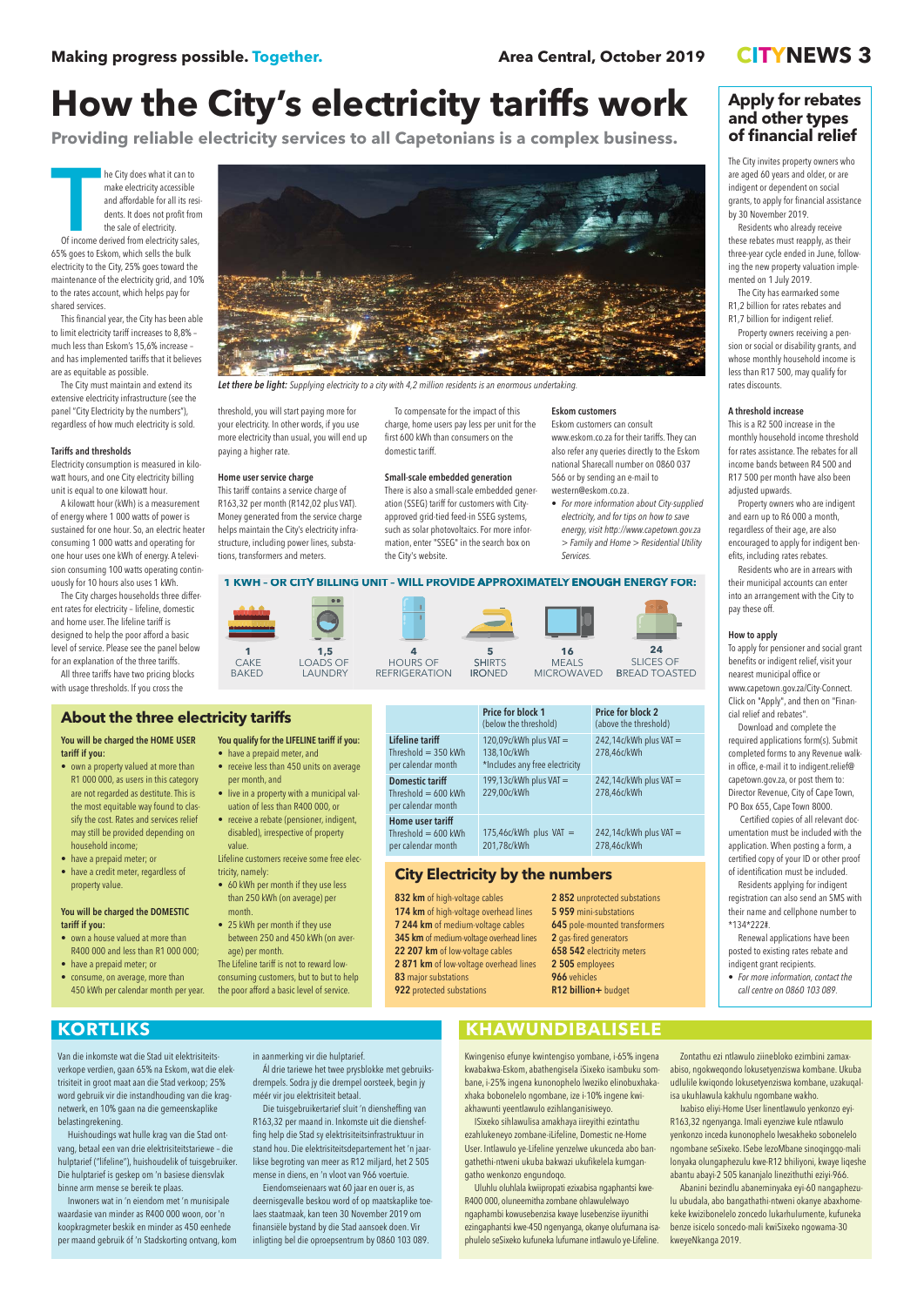Van die inkomste wat die Stad uit elektrisiteitsverkope verdien, gaan 65% na Eskom, wat die elektrisiteit in groot maat aan die Stad verkoop; 25% word gebruik vir die instandhouding van die kragnetwerk, en 10% gaan na die gemeenskaplike belastingrekening.

Huishoudings wat hulle krag van die Stad ontvang, betaal een van drie elektrisiteitstariewe – die hulptarief ("lifeline"), huishoudelik of tuisgebruiker. Die hulptarief is geskep om 'n basiese diensvlak binne arm mense se bereik te plaas.

Inwoners wat in 'n eiendom met 'n munisipale waardasie van minder as R400 000 woon, oor 'n koopkragmeter beskik en minder as 450 eenhede per maand gebruik óf 'n Stadskorting ontvang, kom

#### in aanmerking vir die hulptarief.

Ál drie tariewe het twee prysblokke met gebruiksdrempels. Sodra jy die drempel oorsteek, begin jy méér vir jou elektrisiteit betaal.

Die tuisgebruikertarief sluit 'n diensheffing van R163,32 per maand in. Inkomste uit die diensheffing help die Stad sy elektrisiteitsinfrastruktuur in stand hou. Die elektrisiteitsdepartement het 'n jaarlikse begroting van meer as R12 miljard, het 2 505 mense in diens, en 'n vloot van 966 voertuie. Eiendomseienaars wat 60 jaar en ouer is, as

deernisgevalle beskou word of op maatskaplike toelaes staatmaak, kan teen 30 November 2019 om finansiële bystand by die Stad aansoek doen. Vir inligting bel die oproepsentrum by 0860 103 089.

# **KORTLIKS KORTLIKS KORTLIKS**

Kwingeniso efunye kwintengiso yombane, i-65% ingena kwabakwa-Eskom, abathengisela iSixeko isambuku sombane, i-25% ingena kunonophelo lweziko elinobuxhakaxhaka bobonelelo ngombane, ize i-10% ingene kwiakhawunti yeentlawulo ezihlanganisiweyo.

ISixeko sihlawulisa amakhaya iireyithi ezintathu ezahlukeneyo zombane-iLifeline, Domestic ne-Home User. Intlawulo ye-Lifeline yenzelwe ukunceda abo bangathethi-ntweni ukuba bakwazi ukufikelela kumgangatho wenkonzo engundoqo.

**THE CITY OF STATE OF A SET OF A SET OF A SET OF A SET OF A SET OF A SET OF A SET OF A SET OF THE SALE OF A SET OF A SET OF A SET OF A SET OF A SET OF A SET OF A SET OF A SET OF A SET OF A SET OF A SET OF A SET OF A SET OF** make electricity accessible and affordable for all its residents. It does not profit from the sale of electricity. Of income derived from electricity sales, 65% goes to Eskom, which sells the bulk electricity to the City, 25% goes toward the maintenance of the electricity grid, and 10% to the rates account, which helps pay for shared services.

> Uluhlu oluhlala kwiipropati ezixabisa ngaphantsi kwe-R400 000, oluneemitha zombane ohlawulelwayo ngaphambi kowusebenzisa kwaye lusebenzise iiyunithi ezingaphantsi kwe-450 ngenyanga, okanye olufumana isaphulelo seSixeko kufuneka lufumane intlawulo ye-Lifeline.

Zontathu ezi ntlawulo ziinebloko ezimbini zamaxabiso, ngokweqondo lokusetyenziswa kombane. Ukuba udlulile kwiqondo lokusetyenziswa kombane, uzakuqalisa ukuhlawula kakhulu ngombane wakho.

Ixabiso eliyi-Home User linentlawulo yenkonzo eyi-R163,32 ngenyanga. Imali eyenziwe kule ntlawulo yenkonzo inceda kunonophelo lwesakheko sobonelelo ngombane seSixeko. ISebe lezoMbane sinoqingqo-mali lonyaka olungaphezulu kwe-R12 bhiliyoni, kwaye liqeshe abantu abayi-2 505 kananjalo linezithuthi eziyi-966. Abanini bezindlu abaneminyaka eyi-60 nangaphezulu ubudala, abo bangathathi-ntweni okanye abaxhomekeke kwizibonelelo zoncedo lukarhulumente, kufuneka benze isicelo soncedo-mali kwiSixeko ngowama-30 kweyeNkanga 2019.

|                                                                 | <b>Price for block 1</b><br>(below the threshold)                       | <b>Price for block 2</b><br>(above the threshold) |
|-----------------------------------------------------------------|-------------------------------------------------------------------------|---------------------------------------------------|
| Lifeline tariff<br>Threshold $=$ 350 kWh<br>per calendar month  | 120,09c/kWh plus VAT =<br>138,10c/kWh<br>*Includes any free electricity | $242,14c/kWh$ plus VAT =<br>278,46c/kWh           |
| Domestic tariff<br>Threshold $= 600$ kWh<br>per calendar month  | 199,13 $c/kWh$ plus VAT =<br>229,00c/kWh                                | $242,14c/kWh$ plus VAT =<br>278,46c/kWh           |
| Home user tariff<br>Threshold $= 600$ kWh<br>per calendar month | $175,46c/kWh$ plus VAT =<br>201,78c/kWh                                 | $242,14c/kWh$ plus VAT =<br>278,46c/kWh           |

# **How the City's electricity tariffs work**

**Providing reliable electricity services to all Capetonians is a complex business.**

- have a prepaid meter, and • receive less than 450 units on average
- per month, and
- live in a property with a municipal valuation of less than R400 000, or
- receive a rebate (pensioner, indigent, disabled), irrespective of property value

This financial year, the City has been able to limit electricity tariff increases to 8,8% – much less than Eskom's 15,6% increase – and has implemented tariffs that it believes are as equitable as possible.

> 2 852 unprotected substations 5 959 mini-substations 645 pole-mounted transformers 2 gas-fired generators 658 542 electricity meters 2 505 employees 966 vehicles

The City must maintain and extend its extensive electricity infrastructure (see the panel "City Electricity by the numbers"), regardless of how much electricity is sold.

#### Tariffs and thresholds

Electricity consumption is measured in kilowatt hours, and one City electricity billing unit is equal to one kilowatt hour.

A kilowatt hour (kWh) is a measurement of energy where 1 000 watts of power is sustained for one hour. So, an electric heater consuming 1 000 watts and operating for one hour uses one kWh of energy. A television consuming 100 watts operating continuously for 10 hours also uses 1 kWh.

The City charges households three different rates for electricity – lifeline, domestic and home user. The lifeline tariff is designed to help the poor afford a basic level of service. Please see the panel below for an explanation of the three tariffs.

All three tariffs have two pricing blocks with usage thresholds. If you cross the



Let there be light: Supplying electricity to a city with 4,2 million residents is an enormous undertaking.

threshold, you will start paying more for your electricity. In other words, if you use more electricity than usual, you will end up paying a higher rate.

### Home user service charge

This tariff contains a service charge of R163,32 per month (R142,02 plus VAT). Money generated from the service charge helps maintain the City's electricity infrastructure, including power lines, substations, transformers and meters.

To compensate for the impact of this charge, home users pay less per unit for the first 600 kWh than consumers on the domestic tariff.

#### Small-scale embedded generation

There is also a small-scale embedded generation (SSEG) tariff for customers with Cityapproved grid-tied feed-in SSEG systems, such as solar photovoltaics. For more information, enter "SSEG" in the search box on the City's website.

#### Eskom customers

Eskom customers can consult www.eskom.co.za for their tariffs. They can also refer any queries directly to the Eskom national Sharecall number on 0860 037 566 or by sending an e-mail to western@eskom.co.za.

• For more information about City-supplied electricity, and for tips on how to save energy, visit http://www.capetown.gov.za > Family and Home > Residential Utility Services.

You will be charged the HOME USER tariff if you:

- own a property valued at more than R1 000 000, as users in this category are not regarded as destitute. This is the most equitable way found to classify the cost. Rates and services relief may still be provided depending on household income;
- have a prepaid meter; or
- have a credit meter, regardless of property value.

### You will be charged the DOMESTIC tariff if you:

- own a house valued at more than R400 000 and less than R1 000 000; • have a prepaid meter; or
- consume, on average, more than

You qualify for the LIFELINE tariff if you:

Lifeline customers receive some free electricity, namely:

- 60 kWh per month if they use less than 250 kWh (on average) per month.
- 25 kWh per month if they use between 250 and 450 kWh (on average) per month.
- The Lifeline tariff is not to reward lowconsuming customers, but to but to help

| <b>About the three electricity tariffs</b> |
|--------------------------------------------|
|--------------------------------------------|

## **City Electricity by the numbers**

832 km of high-voltage cables 174 km of high-voltage overhead lines 7 244 km of medium-voltage cables 345 km of medium-voltage overhead lines 22 207 km of low-voltage cables 2 871 km of low-voltage overhead lines 83 major substations

BAKED CAKE **1**



### **1 KWH – OR CITY BILLING G UNIT – WILL PROVIDE APPRO APPROXIMATELY ENOUGH ENERGY FOR:**

# **Apply for rebates and other types of financial relief**

The City invites property owners who are aged 60 years and older, or are indigent or dependent on social grants, to apply for financial assistance by 30 November 2019.

Residents who already receive these rebates must reapply, as their three-year cycle ended in June, following the new property valuation implemented on 1 July 2019.

The City has earmarked some R1,2 billion for rates rebates and R1,7 billion for indigent relief.

Property owners receiving a pension or social or disability grants, and whose monthly household income is less than R17 500, may qualify for rates discounts.

#### A threshold increase

This is a R2 500 increase in the monthly household income threshold for rates assistance. The rebates for all income bands between R4 500 and R17 500 per month have also been adjusted upwards.

Property owners who are indigent and earn up to R6 000 a month, regardless of their age, are also encouraged to apply for indigent benefits, including rates rebates.

Residents who are in arrears with their municipal accounts can enter into an arrangement with the City to pay these off.

#### How to apply

To apply for pensioner and social grant benefits or indigent relief, visit your nearest municipal office or www.capetown.gov.za/City-Connect. Click on "Apply", and then on "Financial relief and rebates".

Download and complete the required applications form(s). Submit completed forms to any Revenue walkin office, e-mail it to indigent.relief@ capetown.gov.za, or post them to: Director Revenue, City of Cape Town, PO Box 655, Cape Town 8000.

Certified copies of all relevant documentation must be included with the application. When posting a form, a certified copy of your ID or other proof of identification must be included.

Residents applying for indigent registration can also send an SMS with their name and cellphone number to \*134\*222#.

Renewal applications have been posted to existing rates rebate and indigent grant recipients.

• For more information, contact the